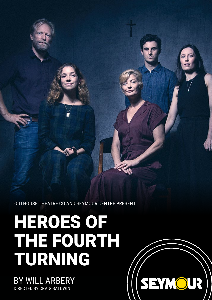OUTHOUSE THEATRE CO AND SEYMOUR CENTRE PRESENT

**SEYMOUR** 

# HEROES OF THE FOURTH TURNING

BY WILL ARBERY DIRECTED BY CRAIG BALDWIN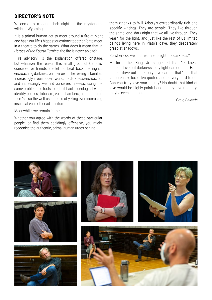#### **DIRECTOR'S NOTE**

Welcome to a dark, dark night in the mysterious wilds of Wyoming.

It is a primal human act to meet around a fire at night and hash out life's biggest questions together (or to meet in a theatre to do the same). What does it mean that in *Heroes of the Fourth Turning*, the fire is never ablaze?

"Fire advisory" is the explanation offered onstage, but whatever the reason this small group of Catholic, conservative friends are left to beat back the night's encroaching darkness on their own. The feeling is familiar. Increasingly, in our modern world, the darkness encroaches and increasingly we find ourselves fire-less, using the same problematic tools to fight it back - ideological wars, identity politics, tribalism, echo chambers, and of course there's also the well-used tactic of yelling ever-increasing insults at each other ad infinitum.

Meanwhile, we remain in the dark.

Whether you agree with the words of these particular people, or find them scaldingly offensive, you might recognise the authentic, primal human urges behind

them (thanks to Will Arbery's extraordinarily rich and specific writing). They are people. They live through the same long, dark night that we all live through. They yearn for the light, and just like the rest of us limited beings living here in Plato's cave, they desperately grasp at shadows.

So where do we find real fire to light the darkness?

Martin Luther King, Jr. suggested that "Darkness cannot drive out darkness; only light can do that. Hate cannot drive out hate; only love can do that." but that is too easily, too often quoted and so very hard to do. Can you truly love your enemy? No doubt that kind of love would be highly painful and deeply revolutionary; maybe even a miracle.

- *Craig Baldwin*

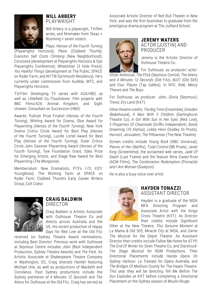

#### **WILL ARBERY**  PLAYWRIGHT

Will Arbery is a playwright, TV/film writer, and filmmaker from Texas + Wyoming + seven sisters.

Plays: *Heroes of the Fourth Turning* 

(Playwrights Horizons); *Plano* (Clubbed Thumb); *Evanston Salt Costs Climbing* (New Neighborhood); *Corsicana* (development at Playwrights Horizons & Ojai Playwrights Conference); *Wheelchair* (3 Hole Press); *You Hateful Things* (development at The Public, SPACE on Ryder Farm, and NYTW Dartmouth Residency). He's currently under commission from Audible, MTC, and Playwrights Horizons.

TV/Film: Developing TV series with A24/HBO, as well as Littlefield Co./Touchstone. Film projects with BBC Films/A24, Animal Kingdom, and Sight Unseen. Consultant on *Succession* (HBO).

Awards: Pulitzer Prize Finalist (*Heroes of the Fourth Turning*), Whiting Award for Drama, Obie Award for Playwriting (*Heroes of the Fourth Turning*), New York Drama Critics Circle Award for Best Play (*Heroes of the Fourth Turning*), Lucille Lortel Award for Best Play (*Heroes of the Fourth Turning*), Outer Critics Circle John Gassner Playwriting Award (*Heroes of the Fourth Turning*), Tow Foundation Grant, Edes Prize for Emerging Artists, and Stage Raw Award for Best Playwriting (*The Mongoose*).

Member/alum: New Dramatists, P73's I-73, EST/ Youngblood, The Working Farm at SPACE on Ryder Farm, Clubbed Thumb's Early Career Writers Group, Colt Coeur.



#### **CRAIG BALDWIN**  DIRECTOR

Craig Baldwin is Artistic Associate with Outhouse Theatre Co and directs across Australia and the US. His recent production of *Happy Days* for Red Line at the Old Fitz

received six Sydney Theatre Award nominations, including Best Director. Previous work with Outhouse at Seymour Centre includes *John* (Best Independent Production, Sydney Theatre Awards) and *The Flick*. As Artistic Associate at Shakespeare Theatre Company in Washington, DC, Craig directed *Hamlet* featuring Michael Urie, as well as productions of *Macbeth* and *Coriolanus*. Past Sydney productions include the Sydney premieres of *4 Minutes 12 Seconds* and *The Aliens* for Outhouse at the Old Fitz. Craig has served as Associate Artistic Director of Red Bull Theater in New York, and was the first Australian to graduate from the prestigious drama program at The Juilliard School.



#### **JEREMY WATERS**  ACTOR (JUSTIN) AND PRODUCER

Jeremy is the Artistic Director of Outhouse Theatre Co.

For Outhouse, as producer/ actor: *Ulster American*, *The Flick* (Seymour Centre), *The Aliens*  and *4 Minutes 12 Seconds* (Old Fitz), *BU21* (Old 505) and *Four Places* (Tap Gallery). In NYC: *Ride*, *Mercy Thieves* and *The Boys*.

For Outhouse, as producer: *John*, *Gloria* (Seymour); *Trevor*, *Dry Land* (KXT).

Other theatre credits: *The Big Time* (Ensemble), *Dresden*  (Bakehouse), *A Man With 5 Children* (Darlinghurst Theatre Co), *A Girl With Sun In Her Eyes* (Red Line), *5 Properties Of Chainmale* (Griffin Independent), *Bondi Dreaming* (10 Alphas), *Lobby Hero* (Dudley St Prods), *Harvest*; *Jerusalem*; *The Pillowman* (The New Theatre).

Screen credits include *Young Rock* (NBC Universal), *Pieces of Her* (Netflix), *Total Control* (BB Prods), *Janet King* (Screentime), the acclaimed web series, *Jade Of Death* (Last Frame) and the feature films *S weet R iver*  (ACM Films), *The Combination Redemption* (Pinnacle) and *I Am Woman* (Goalpost).

He is also a busy voice-over artist.



#### **HAYDEN TONAZZI**  ASSISTANT DIRECTOR

Hayden is a graduate of the NIDA MFA Directing Program and Associate Artist with the Kings Cross Theatre (KXT). As Director their credits include *Significant* 

*Other* at the New Theatre, *This Genuine Moment* at La Mama & Old 505, *Miracle City* at NIDA, and *Carrie: The Musical* for the Depot Theatre. As Assistant Director their credits include *Follow Me Home* for ATYP, *The End Of Winter* for Siren Theatre Co, and *Starstruck: The Stage Musical* for RGM Productions. Their Directorial Placements include *Handa Opera On Sydney Harbour: La Traviata* for Opera Australia, and *The Bridges Of Madison County* for The Hayes Theatre. This year they will be directing *Tell Me Before The Sun Explodes* at KXT before completing a Directorial Placement on the Sydney season of *Moulin Rouge*.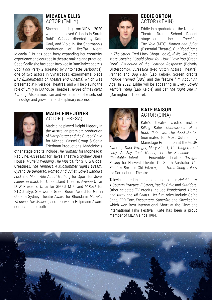

#### **MICAELA ELLIS**  ACTOR (EMILY)

Since graduating from NIDA in 2020 where she played Orlando in Sarah Ruhl's *Orlando* directed by Kate Gaul, and Viola in Jim Sharmann's production of *Twelfth Night*,

Micaela Ellis has been busy expanding her creativity, experience and courage in theatre making and practice. Specifically she has been involved in BanShakespeare's *Cool Pool Party 2* (created by Antoinette Barbouttis), one of two actors in Synarcade's experimental piece *ETC (Experiments of Theatre and Cinema)* which was presented at Riverside Theatres, and will be playing the role of Emily in Outhouse Theatre's *Heroes of the Fourth Turning*. Also a musician and visual artist, she sets out to indulge and grow in interdisciplinary expression.



#### **MADELEINE JONES** ACTOR (TERESA)

Madeleine played Delphi Diggory in the Australian premiere production of *Harry Potter and the Cursed Child* for Michael Cassel Group & Sonia Friedman Productions. Madeleine's

other stage credits include *The Humans* for Mophead & Red Line, *Assassins* for Hayes Theatre & Sydney Opera House, *Muriel's Wedding The Musical* for STC & Global Creatures, *The Tempest, A Midsummer Night's Dream, Cyrano De Bergerac, Romeo And Juliet, Love's Labours Lost* and *Much Ado About Nothing* for Sport for Jove, *Ladies in Black* for Queensland Theatre, *Avenue Q* for LCW Presents, *Once* for GFO & MTC and *M.Rock* for STC & atyp. She won a Green Room Award for Girl in *Once*, a Sydney Theatre Award for Rhonda in *Muriel's Wedding The Musical*, and received a Helpmann Award nomination for both.



#### **EDDIE ORTON** ACTOR (KEVIN)

Eddie is a graduate of the National Theatre Drama School. Recent stage credits include *Touching The Void* (MTC), *Romeo and Juliet* (Essential Theatre), *Our Blood Runs* 

*In The Street* (Red Line/ Chopt Logic), *If We Got Some More Cocaine I Could Show You How I Love You* (Green Door), *Extinction of the Learned Response* (Belvoir/ Glitterbomb), *Jurassica* (Red Stitch Actors Theatre), *Refined* and *Dog Park* (Lab Kelpie). Screen credits include *Framed* (SBS) and the feature film *About An Age*. In 2022, Eddie will be appearing in *Every Lovely Terrible Thing* (Lab Kelpie) and *Let The Right One In*  (Darlinghurst Theatre).



#### **KATE RAISON**  ACTOR (GINA)

Kate's theatre credits include *Killing Katie: Confessions of a Book Club*, *Two*, *The Good Doctor*, (nominated for Most Outstanding Mainstage Production at the GLUG

Awards), *Dark Voyager*, *Mary Stuart*, *The Gingerbread Lady*, *At Any Cost*, *Ninety*, *Let The Sunshine* and *Charitable Intent* for Ensemble Theatre; *Daylight Saving* for Harvest Theatre Co South Australia; *The Shadow Box* for Old Fitzroy; and *Torch Song Trilogy*  for Darlinghurst Theatre.

Television credits include ongoing roles in *Neighbours*, *A Country Practice*, *E-Street*, *Pacific Drive* and *Outriders*. Other selected TV credits include *Wonderland*, *Home and Away* and *All Saints*. Her film roles include *Going Sane*, *EBB Tide*, *Encounters*, *Superfire* and *Checkpoint,*  which won Best International Short at the Cleveland International Film Festival. Kate has been a proud member of MEAA since 1984.

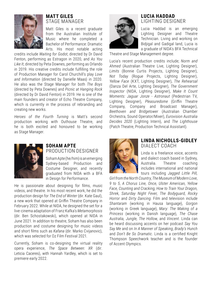

#### **MATT GILES**  STAGE MANAGER

Matt Giles is a recent graduate from the Australian Institute of Music where he completed a Bachelor of Performance: Dramatic Arts. His most notable acting

credits include *Waiting for Godot*, directed by Dr David Fenton, performing as Estragon in 2020, and *As You Like It*, directed by Peta Downes, performing as Orlando in 2019. His creative credits include fulfilling the role of Production Manager for Carol Churchill's play *Love and Information* (directed by Danielle Maas) in 2020. He also was the Stage Manager for both *The Boys*  (directed by Peta Downes) and *Picnic at Hanging Rock*  (directed by Dr David Fenton) in 2019. He is one of the main founders and creator of Echo Theatre Company, which is currently in the process of rebranding and creating new works.

*Heroes of the Fourth Turning* is Matt's second production working with Outhouse Theatre, and he is both excited and honoured to be working as Stage Manager.

#### **LUCIA HADDAD**  LIGHTING DESIGNER

Lucia Haddad is an emerging Lighting Designer and Theatre Technician. Living and working on Bidiigal and Gadigal land, Lucia is a graduate of NIDA's BFA Technical

Theatre and Stage Management degree.

Lucia's recent production credits include; *Norm and Ahmed* (Australian Theatre Live, Lighting Designer), *Limits* (Bonnie Curtis Projects, Lighting Designer), *Not Today* (Rogue Projects, Lighting Designer), *Yellow Face* (KXT, Lighting Designer), *The Rehearsal*  (Danza Del Arte, Lighting Designer), *The Government Inspector* (NIDA, Lighting Designer), *Make It Count Moments: Jaguar Jonze - Astronaut* (Pedestrian TV, Lighting Designer), *Pleasuredome* (Griffin Theatre Company, Company and Broadcast Manager), *Beethoven and Bridgetower* (Australian Chamber Orchestra, Sound Operator/Mixer), *Eurovision Australia Decides 2020* (Lighting Intern), and *The Lighthouse*  (Patch Theatre, Production Technical Assistant).



#### **SOHAM APTE** PRODUCTION DESIGNER

Soham Apte (he/him) is an emerging Sydney-based Production and Costume Designer, and recently graduated from NIDA with a BFA in Design for Performance.

He is passionate about designing for films, music videos, and theatre. In his most recent work, he did the production design for *The End of Winter* (dir. Kate Gaul), a new work that opened at Griffin Theatre Company in February 2022. While at NIDA, he designed the set for a live-cinema adaptation of Franz Kafka's *Metamorphosis* (dir. Ben Schostakowski), which opened at NIDA in June 2021. In addition to theatre, Soham has also been production and costume designing for music videos and short films such as *Kafana* (dir. Marko Cvijanovic), which was selected for Oz Film Festival 2021.

Currently, Soham is co-designing the virtual reality opera experience, *The Space Between: XR* (dir. Leticia Caceres), with Hannah Yardley, which is set to premiere early 2022.



#### **LINDA NICHOLLS-GIDLEY**  DIALECT COACH

Linda is a freelance voice, accents and dialect coach based in Sydney, Australia. Theatre coaching includes international and national tours including *Jagged Little Pill,* 

**LINDA NICHOLLS-GIDLEY | DIALECT COACH** *Girl from the North Country*, *The Museum of Modern Love*, *9 to 5*, *A Chorus Line, Once, Ulster American, Yellow Face, Counting and Cracking, How to Train Your Dragon, Shrek, Saturday Night Fever, The Bodyguard, Rocky Horror* and *Dirty Dancing*. Film and television include *Shantaram* (working in Hausa language), *Gorgon*  (working in Greek language), *Mary: The Making of a Princess* (working in Danish language), *The Chase Australia, Jungle, The Hollow,* and *Vincent*. Linda can be heard discussing accents on her podcast *Say You Say Me* and on *In A Manner of Speaking*, *Brady's Hunch* and *Don't Be So Dramatic*. Linda is a certified Knight Thompson Speechwork teacher and is the founder of Accent Olympics.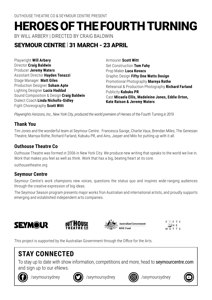## HEROES OF THE FOURTH TURNING

BY WILL ARBERY | DIRECTED BY CRAIG BALDWIN

#### SEYMOUR CENTRE | 31 MARCH - 23 APRIL

Playwright **Will Arbery** Director **Craig Baldwin** Producer **Jeremy Waters** Assistant Director **Hayden Tonazzi**  Stage Manager **Matt Giles** Production Designer **Soham Apte** Lighting Designer **Lucia Haddad**  Sound Composition & Design **Craig Baldwin** Dialect Coach **Linda Nicholls-Gidley** Fight Choreography **Scott Witt** 

Armourer **Scott Witt** Set Construction **Tom Fahy** Prop Maker **Luca Kovacs** Graphic Design **Fifty One Watts Design** Promotional Photography **Marnya Rothe** Rehearsal & Production Photography **Richard Farland** Publicity **Kabuku PR** Cast **Micaela Ellis, Madeleine Jones, Eddie Orton, Kate Raison & Jeremy Waters**

*Playwrights Horizons, Inc., New York City, produced the world premiere of Heroes of the Fourth Turning in 2019*.

#### **Thank You**

Tim Jones and the wonderful team at Seymour Centre. Francesca Savige, Charlie Vaux, Brendan Miles, The Genesian Theatre, Marnya Rothe, Richard Farland, Kabuku PR, and Ains, Jasper and Milo for putting up with it all.

#### **Outhouse Theatre Co**

Outhouse Theatre was formed in 2006 in New York City. We produce new writing that speaks to the world we live in. Work that makes you feel as well as think. Work that has a big, beating heart at its core.

outhousetheatre.org

#### **Seymour Centre**

Seymour Centre's work champions new voices, questions the status quo and inspires wide-ranging audiences through the creative expression of big ideas.

The Seymour Season program presents major works fron Australian and international artists, and proudly supports emerging and established independent arts companies.







 $F$  $F$  $T$  $Y$ OIN F WATTS

This project is supported by the Australian Government through the Office for the Arts.

### **STAY CONNECTED**

To stay up to date with show information, competitions and more, head to seymourcentre.com and sign up to our eNews.